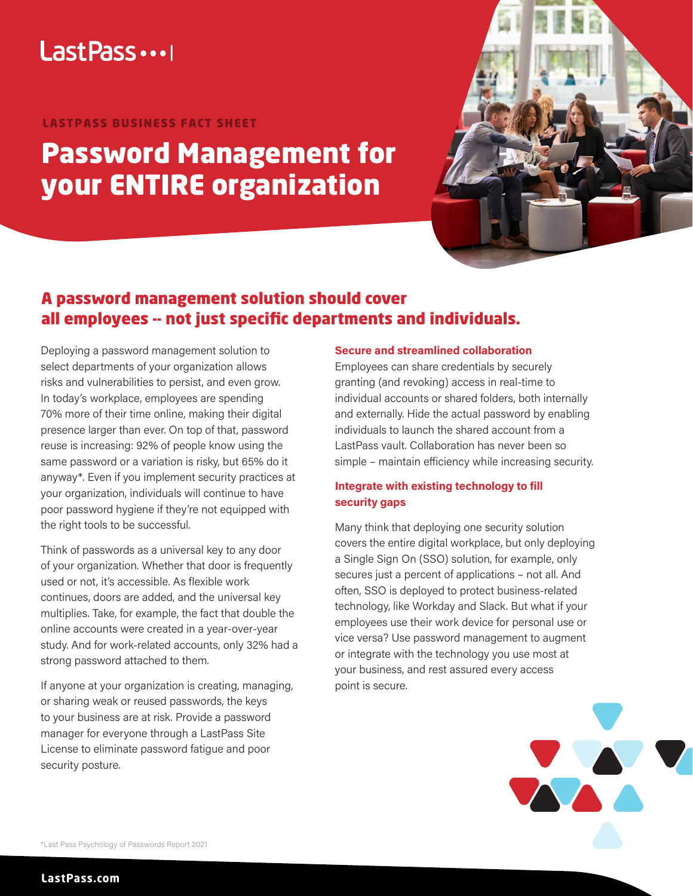## Last Pass ...

#### LASTPASS BUSINESS FACT SHEET

# Password Management for your ENTIRE organization



### A password management solution should cover all employees -- not just specific departments and individuals.

Deploying a password management solution to select departments of your organization allows risks and vulnerabilities to persist, and even grow. In today's workplace, employees are spending 70% more of their time online, making their digital presence larger than ever. On top of that, password reuse is increasing: 92% of people know using the same password or a variation is risky, but 65% do it anyway\*. Even if you implement security practices at your organization, individuals will continue to have poor password hygiene if they're not equipped with the right tools to be successful.

Think of passwords as a universal key to any door of your organization. Whether that door is frequently used or not, it's accessible. As flexible work continues, doors are added, and the universal key multiplies. Take, for example, the fact that double the online accounts were created in a year-over-year study. And for work-related accounts, only 32% had a strong password attached to them.

If anyone at your organization is creating, managing, or sharing weak or reused passwords, the keys to your business are at risk. Provide a password manager for everyone through a LastPass Site License to eliminate password fatigue and poor security posture.

#### **Secure and streamlined collaboration**

Employees can share credentials by securely granting (and revoking) access in real-time to individual accounts or shared folders, both internally and externally. Hide the actual password by enabling individuals to launch the shared account from a LastPass vault. Collaboration has never been so simple – maintain efficiency while increasing security.

#### **Integrate with existing technology to fill security gaps**

Many think that deploying one security solution covers the entire digital workplace, but only deploying a Single Sign On (SSO) solution, for example, only secures just a percent of applications – not all. And often, SSO is deployed to protect business-related technology, like Workday and Slack. But what if your employees use their work device for personal use or vice versa? Use password management to augment or integrate with the technology you use most at your business, and rest assured every access point is secure.



\*Last Pass Psychology of Passwords Report 2021